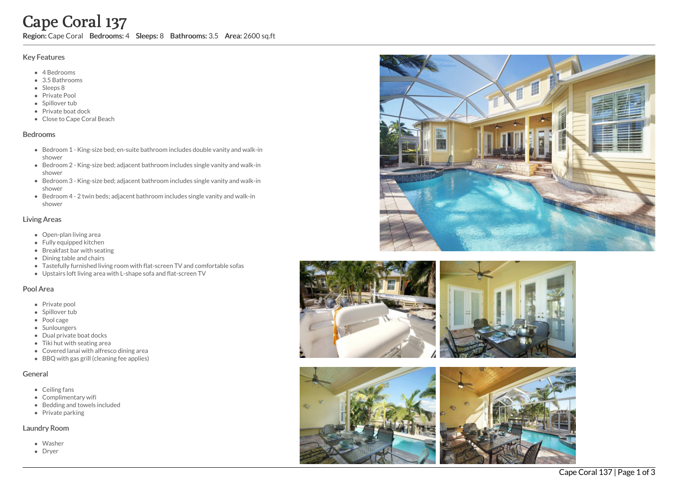# Cape Coral 137

Region: Cape Coral Bedrooms: 4 Sleeps: 8 Bathrooms: 3.5 Area: 2600 sq.ft

## Key Features

- 4 B e d r o o m s
- 3.5 B a t h r o o m s
- Sleeps 8
- Private Pool
- Spillover tub
- Private boat dock
- Close to Cape Coral Beach

#### **Bedrooms**

- Bedroom 1 King-size bed; en-suite bathroom includes double vanity and walk-in s h o w e r
- Bedroom 2 King-size bed; adjacent bathroom includes single vanity and walk-in s h o w e r
- Bedroom 3 King-size bed; adjacent bathroom includes single vanity and walk-in s h o w e r
- Bedroom 4 2 twin beds; adjacent bathroom includes single vanity and walk-in s h o w e r

## Living Areas

- Open-plan living area
- Fully equipped kitchen
- Breakfast bar with seating
- Dining table and chairs
- Tastefully furnished living room with flat-screen TV and comfortable sofas
- Upstairs loft living area with L-shape sofa and flat-screen TV

# Pool Area

- Private pool
- Spillover tub
- Pool cage
- Sunloungers
- Dual private boat docks
- Tiki hut with seating area
- Covered lanai with alfresco dining area
- BBQ with gas grill (cleaning fee applies)

# General

- Ceilin g f a n s
- Complimentary wifi
- Bedding and towels in clu d e d
- Private parking

#### Laundry Room

- Washer
- Dryer







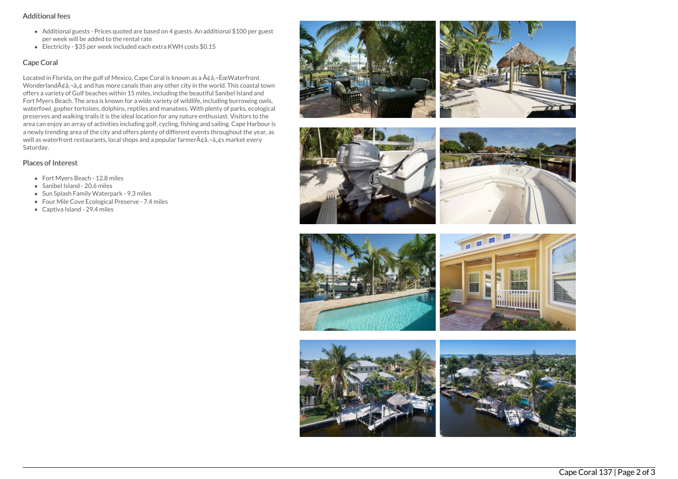## Additional fees

- Additional guests Prices quoted are based on 4 guests. An additional \$100 per guest per week will be added to the rental rate
- Electricity \$35 per week included each extra KWH costs \$0.15

## Cape Coral

Located in Florida, on the gulf of Mexico, Cape Coral is known as a  $A\hat{\alpha}$ , - Ece Waterfront Wonderland $\tilde{A} \phi \tilde{a}$ ,  $\phi$  and has more canals than any other city in the world. This coastal town offers a variety of Gulf beaches within 15 miles, including the beautiful Sanibel Island and Fort Myers Beach. The area is known for a wide variety of wildlife, including burrowing owls, waterfowl, gopher tortoises, dolphins, reptiles and manatees. With plenty of parks, ecological preserves and walking trails it is the ideal location for any nature enthusiast. Visitors to the area can enjoy an array of activities including golf, cycling, fishing and sailing. Cape Harbour is a newly trending area of the city and offers plenty of different events throughout the year, as well as waterfront restaurants, local shops and a popular farmer $A\hat{\alpha}$ ,  $\hat{\alpha}$ ,  $\hat{\alpha}$ ,  $\hat{\alpha}$  market every Saturday.

# Places of Interest

- Fort Myers Beach 12.8 miles
- Sanibel Island 20.6 miles
- Sun Splash Family Waterpark 9.3 miles
- Four Mile Cove Ecological Preserve 7.4 miles
- Captiva Island 29.4 miles